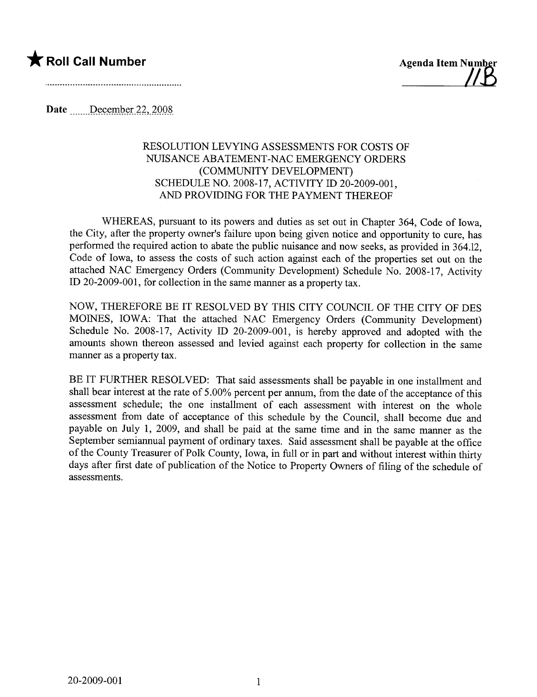## \* Roll Call Number Agenda Item 7imber



Date  $\frac{\text{December }22,2008}{\text{December }22,2008}$ 

## RESOLUTION LEVYING ASSESSMENTS FOR COSTS OF NUISANCE ABATEMENT-NAC EMERGENCY ORDERS (COMMUNITY DEVELOPMENT) SCHEDULE NO. 2008-17, ACTIVITY ID 20-2009-001, AND PROVIDING FOR THE PAYMENT THEREOF

WHEREAS, pursuant to its powers and duties as set out in Chapter 364, Code of Iowa, the City, after the property owner's failure upon being given notice and opportunity to cure, has performed the required action to abate the public nuisance and now seeks, as provided in 364.12, Code of Iowa, to assess the costs of such action against each of the properties set out on the attached NAC Emergency Orders (Community Development) Schedule No. 2008-17, Activity ID 20-2009-001, for collection in the same maner as a property tax.

NOW, THEREFORE BE IT RESOLVED BY THIS CITY COUNCIL OF THE CITY OF DES MOINES, IOWA: That the attached NAC Emergency Orders (Community Development) Schedule No. 2008-17, Activity ID 20-2009-001, is hereby approved and adopted with the amounts shown thereon assessed and levied against each property for collection in the same manner as a property tax.

BE IT FURTHER RESOLVED: That said assessments shall be payable in one installment and shall bear interest at the rate of 5.00% percent per anum, from the date of the acceptance of this assessment schedule; the one installment of each assessment with interest on the whole assessment from date of acceptance of this schedule by the Council, shall become due and payable on July 1, 2009, and shall be paid at the same time and in the same manner as the September semiannual payment of ordinary taxes. Said assessment shall be payable at the office of the County Treasurer of Polk County, Iowa, in full or in part and without interest within thirty days after first date of publication of the Notice to Property Owners of filing of the schedule of assessments.